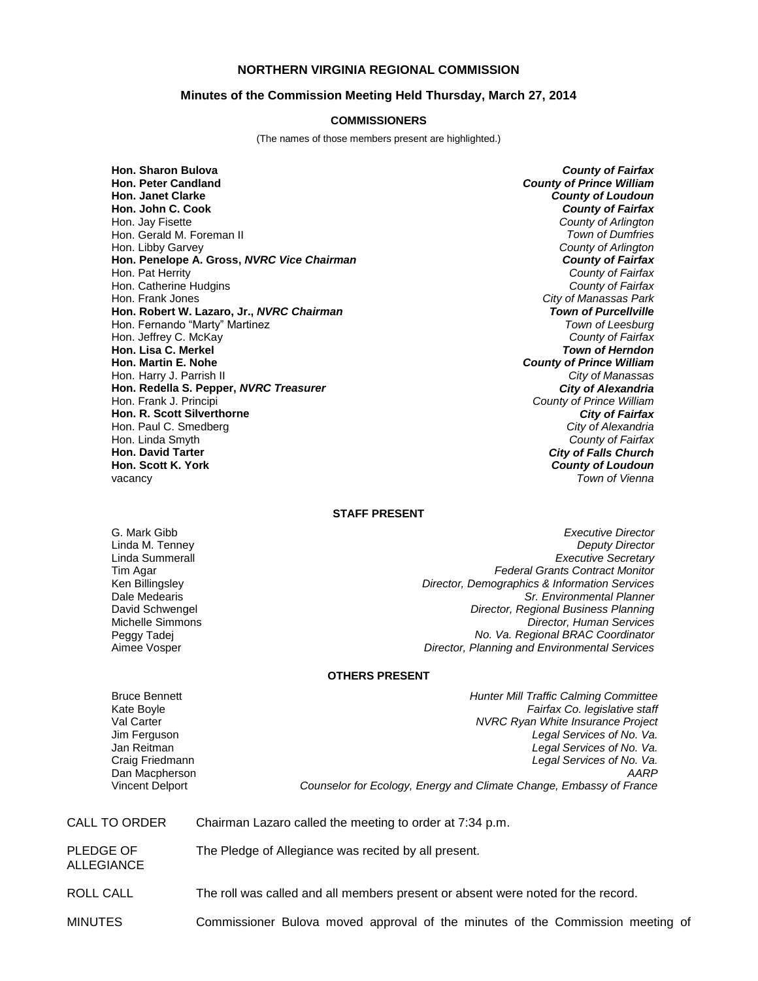# **NORTHERN VIRGINIA REGIONAL COMMISSION**

## **Minutes of the Commission Meeting Held Thursday, March 27, 2014**

#### **COMMISSIONERS**

(The names of those members present are highlighted.)

**Hon. Sharon Bulova** *County of Fairfax* **Hon. Janet Clarke** *County of Loudoun* **Hon. John C. Cook** *County of Fairfax* Hon. Jay Fisette *County of Arlington* Hon. Gerald M. Foreman II *Town of Dumfries* Hon. Libby Garvey *County of Arlington* **Hon. Penelope A. Gross, NVRC Vice Chairman** Hon. Pat Herrity *County of Fairfax* Hon. Catherine Hudgins<br>**Hon. Frank Jones Hon. Robert W. Lazaro, Jr.,** *NVRC Chairman Town of Purcellville* Hon. Fernando "Marty" Martinez *Town of Leesburg* Hon. Jeffrey C. McKay *County of Fairfax* **Hon. Lisa C. Merkel** *Town of Herndon* **Hon. Martin E. Nohe** *County of Prince William* Hon. Harry J. Parrish II *City of Manassas* **Hon. Redella S. Pepper,** *NVRC Treasurer* Hon. Frank J. Principi *County of Prince William* **Hon. R. Scott Silverthorne** *City of Fairfax* Hon. Paul C. Smedberg *City of Alexandria* Hon. Linda Smyth *County of Fairfax* **Hon. Scott K. York** vacancy

**County of Prince William City of Manassas Park** *City of Falls Church*<br>*County of Loudoun* **Town of Vienna** 

### **STAFF PRESENT**

G. Mark Gibb *Executive Director* Linda M. Tenney *Deputy Director* Linda Summerall *Executive Secretary* Tim Agar *Federal Grants Contract Monitor* **Director, Demographics & Information Services** Dale Medearis *Sr. Environmental Planner* David Schwengel *Director, Regional Business Planning* Michelle Simmons *Director, Human Services* Peggy Tadej *No. Va. Regional BRAC Coordinator* **Director, Planning and Environmental Services** 

### **OTHERS PRESENT**

Dan Macpherson

Bruce Bennett *Hunter Mill Traffic Calming Committee* Kate Boyle *Fairfax Co. legislative staff* Val Carter *NVRC Ryan White Insurance Project* Legal Services of No. Va. Jan Reitman *Legal Services of No. Va.* Craig Friedmann *Legal Services of No. Va.* Vincent Delport *Counselor for Ecology, Energy and Climate Change, Embassy of France*

CALL TO ORDER Chairman Lazaro called the meeting to order at 7:34 p.m. PLEDGE OF ALLEGIANCE The Pledge of Allegiance was recited by all present. ROLL CALL The roll was called and all members present or absent were noted for the record. MINUTES Commissioner Bulova moved approval of the minutes of the Commission meeting of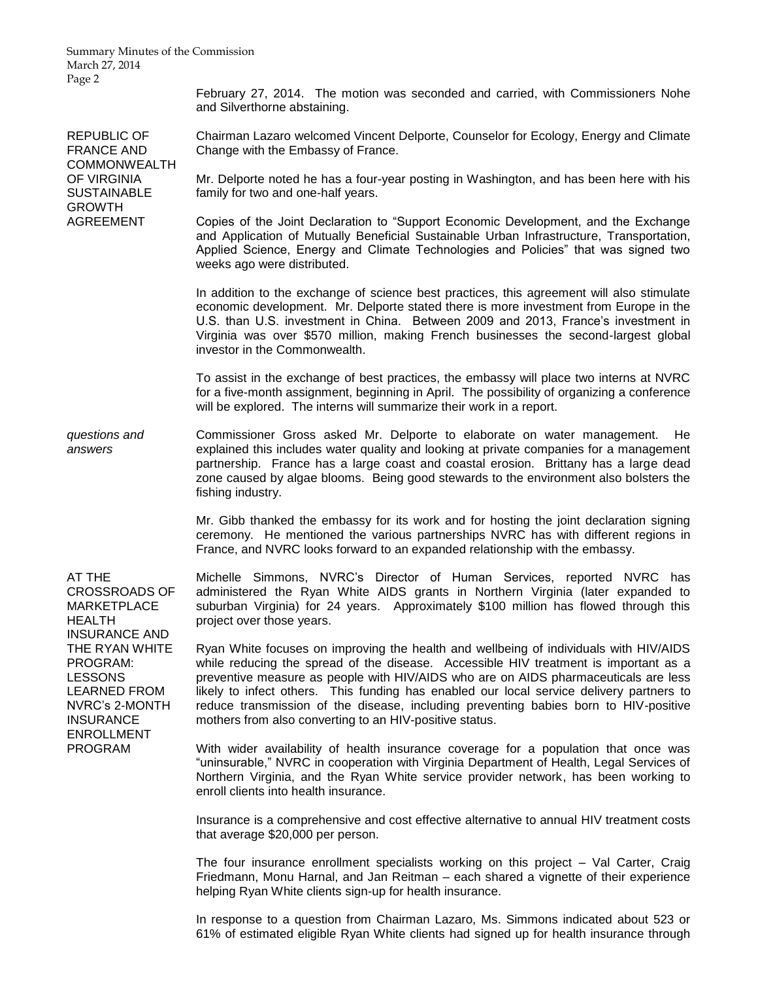Summary Minutes of the Commission March 27, 2014 Page 2

> February 27, 2014. The motion was seconded and carried, with Commissioners Nohe and Silverthorne abstaining.

REPUBLIC OF FRANCE AND COMMONWEALTH OF VIRGINIA **SUSTAINABLE** GROWTH AGREEMENT

Chairman Lazaro welcomed Vincent Delporte, Counselor for Ecology, Energy and Climate Change with the Embassy of France.

Mr. Delporte noted he has a four-year posting in Washington, and has been here with his family for two and one-half years.

Copies of the Joint Declaration to "Support Economic Development, and the Exchange and Application of Mutually Beneficial Sustainable Urban Infrastructure, Transportation, Applied Science, Energy and Climate Technologies and Policies" that was signed two weeks ago were distributed.

In addition to the exchange of science best practices, this agreement will also stimulate economic development. Mr. Delporte stated there is more investment from Europe in the U.S. than U.S. investment in China. Between 2009 and 2013, France's investment in Virginia was over \$570 million, making French businesses the second-largest global investor in the Commonwealth.

To assist in the exchange of best practices, the embassy will place two interns at NVRC for a five-month assignment, beginning in April. The possibility of organizing a conference will be explored. The interns will summarize their work in a report.

*questions and answers* Commissioner Gross asked Mr. Delporte to elaborate on water management. He explained this includes water quality and looking at private companies for a management partnership. France has a large coast and coastal erosion. Brittany has a large dead zone caused by algae blooms. Being good stewards to the environment also bolsters the fishing industry.

> Mr. Gibb thanked the embassy for its work and for hosting the joint declaration signing ceremony. He mentioned the various partnerships NVRC has with different regions in France, and NVRC looks forward to an expanded relationship with the embassy.

AT THE CROSSROADS OF MARKETPLACE HEALTH INSURANCE AND THE RYAN WHITE PROGRAM: LESSONS LEARNED FROM NVRC's 2-MONTH INSURANCE ENROLLMENT PROGRAM

Michelle Simmons, NVRC's Director of Human Services, reported NVRC has administered the Ryan White AIDS grants in Northern Virginia (later expanded to suburban Virginia) for 24 years. Approximately \$100 million has flowed through this project over those years.

Ryan White focuses on improving the health and wellbeing of individuals with HIV/AIDS while reducing the spread of the disease. Accessible HIV treatment is important as a preventive measure as people with HIV/AIDS who are on AIDS pharmaceuticals are less likely to infect others. This funding has enabled our local service delivery partners to reduce transmission of the disease, including preventing babies born to HIV-positive mothers from also converting to an HIV-positive status.

With wider availability of health insurance coverage for a population that once was "uninsurable," NVRC in cooperation with Virginia Department of Health, Legal Services of Northern Virginia, and the Ryan White service provider network, has been working to enroll clients into health insurance.

Insurance is a comprehensive and cost effective alternative to annual HIV treatment costs that average \$20,000 per person.

The four insurance enrollment specialists working on this project – Val Carter, Craig Friedmann, Monu Harnal, and Jan Reitman – each shared a vignette of their experience helping Ryan White clients sign-up for health insurance.

In response to a question from Chairman Lazaro, Ms. Simmons indicated about 523 or 61% of estimated eligible Ryan White clients had signed up for health insurance through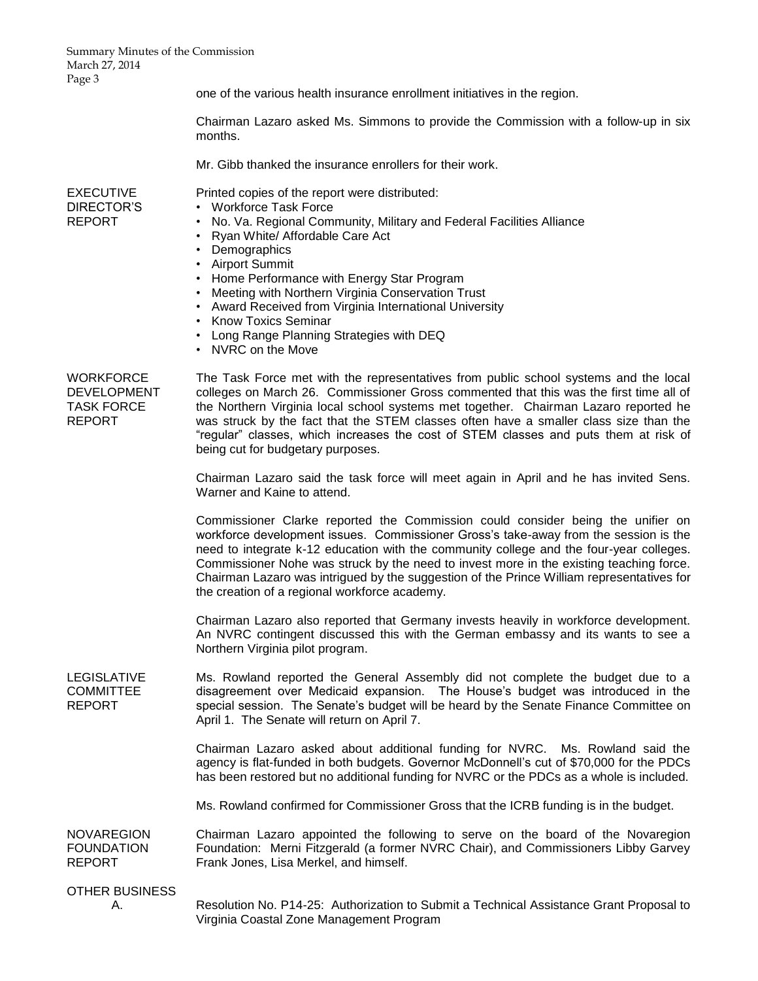Summary Minutes of the Commission March 27, 2014 Page 3

one of the various health insurance enrollment initiatives in the region. Chairman Lazaro asked Ms. Simmons to provide the Commission with a follow-up in six months. Mr. Gibb thanked the insurance enrollers for their work. EXECUTIVE DIRECTOR'S REPORT Printed copies of the report were distributed: • Workforce Task Force • No. Va. Regional Community, Military and Federal Facilities Alliance • Ryan White/ Affordable Care Act • Demographics • Airport Summit • Home Performance with Energy Star Program • Meeting with Northern Virginia Conservation Trust • Award Received from Virginia International University • Know Toxics Seminar • Long Range Planning Strategies with DEQ • NVRC on the Move **WORKFORCE** DEVELOPMENT TASK FORCE REPORT The Task Force met with the representatives from public school systems and the local colleges on March 26. Commissioner Gross commented that this was the first time all of the Northern Virginia local school systems met together. Chairman Lazaro reported he was struck by the fact that the STEM classes often have a smaller class size than the "regular" classes, which increases the cost of STEM classes and puts them at risk of being cut for budgetary purposes. Chairman Lazaro said the task force will meet again in April and he has invited Sens. Warner and Kaine to attend. Commissioner Clarke reported the Commission could consider being the unifier on workforce development issues. Commissioner Gross's take-away from the session is the need to integrate k-12 education with the community college and the four-year colleges. Commissioner Nohe was struck by the need to invest more in the existing teaching force. Chairman Lazaro was intrigued by the suggestion of the Prince William representatives for the creation of a regional workforce academy. Chairman Lazaro also reported that Germany invests heavily in workforce development. An NVRC contingent discussed this with the German embassy and its wants to see a Northern Virginia pilot program. LEGISLATIVE COMMITTEE REPORT Ms. Rowland reported the General Assembly did not complete the budget due to a disagreement over Medicaid expansion. The House's budget was introduced in the special session. The Senate's budget will be heard by the Senate Finance Committee on April 1. The Senate will return on April 7. Chairman Lazaro asked about additional funding for NVRC. Ms. Rowland said the agency is flat-funded in both budgets. Governor McDonnell's cut of \$70,000 for the PDCs has been restored but no additional funding for NVRC or the PDCs as a whole is included. Ms. Rowland confirmed for Commissioner Gross that the ICRB funding is in the budget. **NOVAREGION** FOUNDATION REPORT Chairman Lazaro appointed the following to serve on the board of the Novaregion Foundation: Merni Fitzgerald (a former NVRC Chair), and Commissioners Libby Garvey Frank Jones, Lisa Merkel, and himself. OTHER BUSINESS A. Resolution No. P14-25: Authorization to Submit a Technical Assistance Grant Proposal to Virginia Coastal Zone Management Program